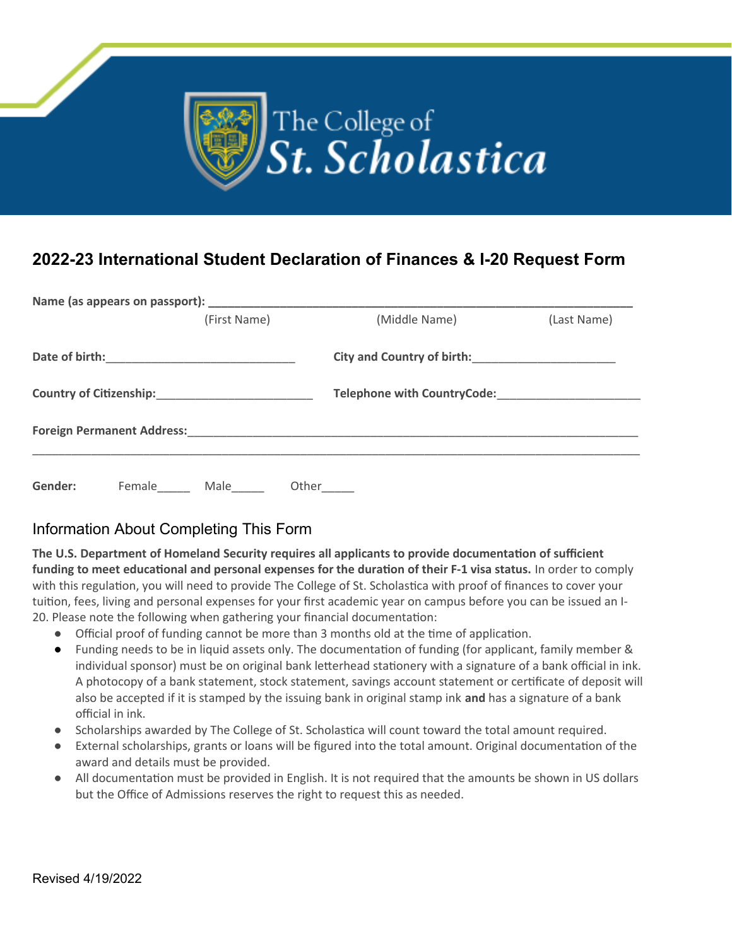

## **2022-23 International Student Declaration of Finances & I-20 Request Form**

|                                                            |        | (First Name)                                                                                                                                                                                                                         |       | (Middle Name)                                                                      | (Last Name) |  |  |  |
|------------------------------------------------------------|--------|--------------------------------------------------------------------------------------------------------------------------------------------------------------------------------------------------------------------------------------|-------|------------------------------------------------------------------------------------|-------------|--|--|--|
|                                                            |        | Date of birth: <u>contract and a series of the series of the series of the series of the series of the series of the series of the series of the series of the series of the series of the series of the series of the series of</u> |       |                                                                                    |             |  |  |  |
| Country of Citizenship:<br><u> Country of Citizenship:</u> |        |                                                                                                                                                                                                                                      |       | Telephone with CountryCode:                                                        |             |  |  |  |
|                                                            |        |                                                                                                                                                                                                                                      |       | <b>Foreign Permanent Address: William Science Address: Annual Science Address:</b> |             |  |  |  |
| Gender:                                                    | Female | Male                                                                                                                                                                                                                                 | Other |                                                                                    |             |  |  |  |

## Information About Completing This Form

**The U.S. Department of Homeland Security requires all applicants to provide documentation of sufficient funding to meet educational and personal expenses for the duration of their F-1 visa status.** In order to comply with this regulation, you will need to provide The College of St. Scholastica with proof of finances to cover your tuition, fees, living and personal expenses for your first academic year on campus before you can be issued an I-20. Please note the following when gathering your financial documentation:

- Official proof of funding cannot be more than 3 months old at the time of application.
- Funding needs to be in liquid assets only. The documentation of funding (for applicant, family member & individual sponsor) must be on original bank letterhead stationery with a signature of a bank official in ink. A photocopy of a bank statement, stock statement, savings account statement or certificate of deposit will also be accepted if it is stamped by the issuing bank in original stamp ink **and** has a signature of a bank official in ink.
- Scholarships awarded by The College of St. Scholastica will count toward the total amount required.
- External scholarships, grants or loans will be figured into the total amount. Original documentation of the award and details must be provided.
- All documentation must be provided in English. It is not required that the amounts be shown in US dollars but the Office of Admissions reserves the right to request this as needed.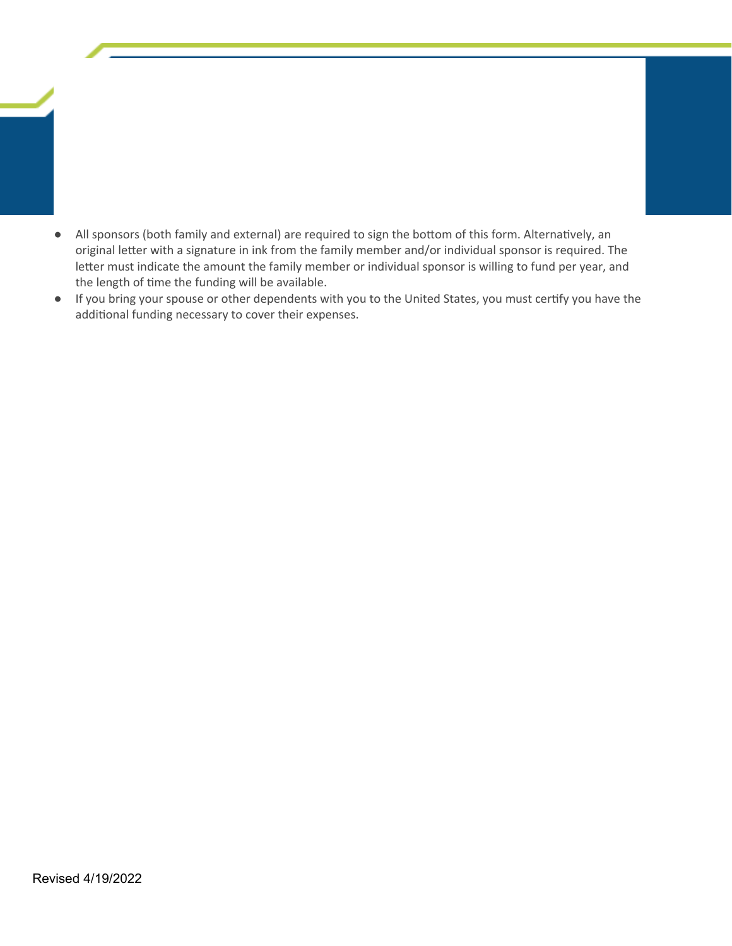- All sponsors (both family and external) are required to sign the bottom of this form. Alternatively, an original letter with a signature in ink from the family member and/or individual sponsor is required. The letter must indicate the amount the family member or individual sponsor is willing to fund per year, and the length of time the funding will be available.
- If you bring your spouse or other dependents with you to the United States, you must certify you have the additional funding necessary to cover their expenses.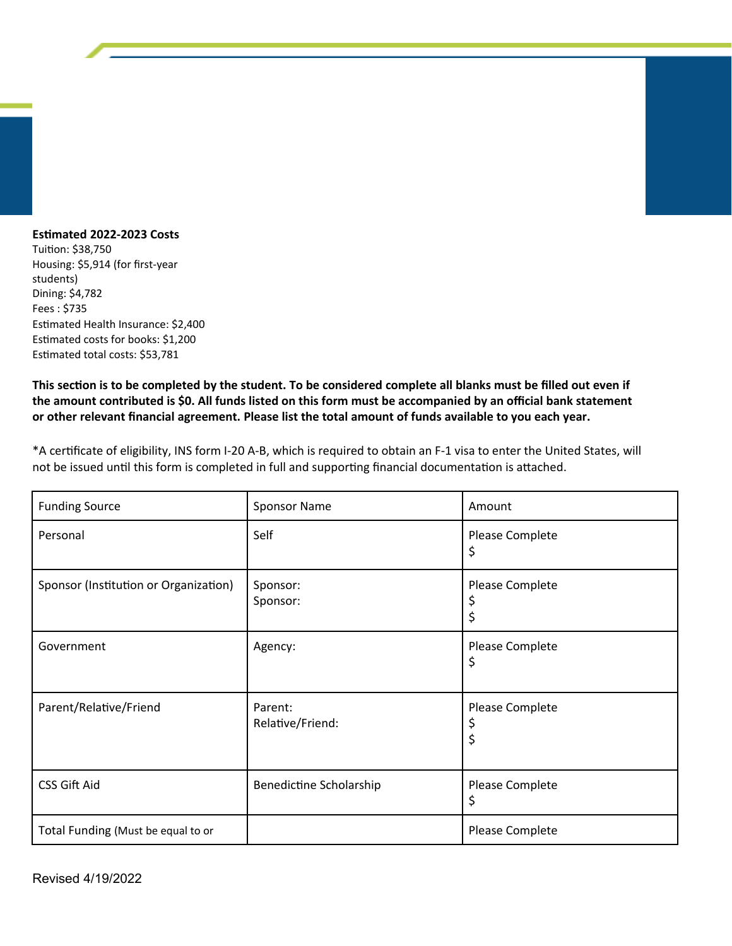## **Estimated 2022-2023 Costs**

Tuition: \$38,750 Housing: \$5,914 (for first-year students) Dining: \$4,782 Fees : \$735 Estimated Health Insurance: \$2,400 Estimated costs for books: \$1,200 Estimated total costs: \$53,781

**This section is to be completed by the student. To be considered complete all blanks must be filled out even if the amount contributed is \$0. All funds listed on this form must be accompanied by an official bank statement or other relevant financial agreement. Please list the total amount of funds available to you each year.**

\*A certificate of eligibility, INS form I-20 A-B, which is required to obtain an F-1 visa to enter the United States, will not be issued until this form is completed in full and supporting financial documentation is attached.

| <b>Funding Source</b>                 | <b>Sponsor Name</b>         | Amount                |
|---------------------------------------|-----------------------------|-----------------------|
| Personal                              | Self                        | Please Complete<br>\$ |
| Sponsor (Institution or Organization) | Sponsor:<br>Sponsor:        | Please Complete<br>\$ |
| Government                            | Agency:                     | Please Complete<br>Ş  |
| Parent/Relative/Friend                | Parent:<br>Relative/Friend: | Please Complete<br>\$ |
| <b>CSS Gift Aid</b>                   | Benedictine Scholarship     | Please Complete<br>\$ |
| Total Funding (Must be equal to or    |                             | Please Complete       |